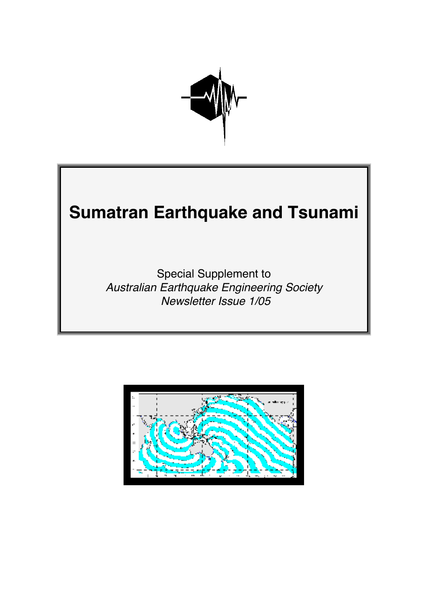

# **Sumatran Earthquake and Tsunami**

Special Supplement to Australian Earthquake Engineering Society Newsletter Issue 1/05

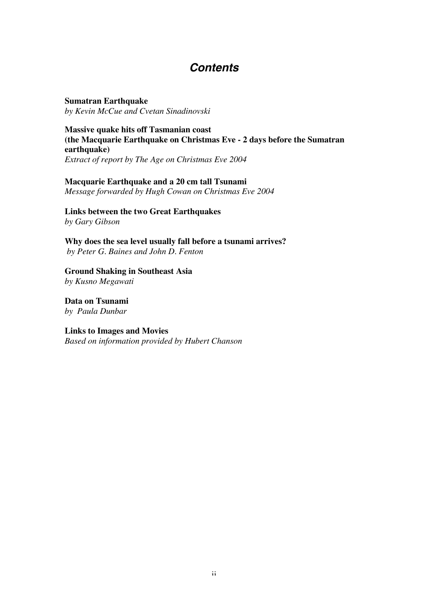# **Contents**

**Sumatran Earthquake** *by Kevin McCue and Cvetan Sinadinovski*

**Massive quake hits off Tasmanian coast (the Macquarie Earthquake on Christmas Eve - 2 days before the Sumatran earthquake)** *Extract of report by The Age on Christmas Eve 2004*

#### **Macquarie Earthquake and a 20 cm tall Tsunami**

*Message forwarded by Hugh Cowan on Christmas Eve 2004*

**Links between the two Great Earthquakes** *by Gary Gibson*

**Why does the sea level usually fall before a tsunami arrives?**  *by Peter G. Baines and John D. Fenton*

**Ground Shaking in Southeast Asia** *by Kusno Megawati*

**Data on Tsunami** *by Paula Dunbar*

#### **Links to Images and Movies**

*Based on information provided by Hubert Chanson*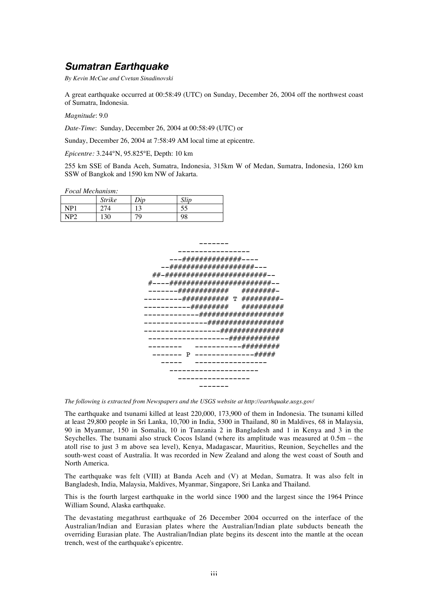## **Sumatran Earthquake**

*By Kevin McCue and Cvetan Sinadinovski*

A great earthquake occurred at 00:58:49 (UTC) on Sunday, December 26, 2004 off the northwest coast of Sumatra, Indonesia.

*Magnitude*: 9.0

*Date-Time*: Sunday, December 26, 2004 at 00:58:49 (UTC) or

Sunday, December 26, 2004 at 7:58:49 AM local time at epicentre.

*Epicentre:* 3.244°N, 95.825°E, Depth: 10 km

255 km SSE of Banda Aceh, Sumatra, Indonesia, 315km W of Medan, Sumatra, Indonesia, 1260 km SSW of Bangkok and 1590 km NW of Jakarta.

#### *Focal Mechanism:*

|     | <b>Strike</b> | Div                  | Slip |
|-----|---------------|----------------------|------|
| NP1 | 27/<br>۰4     | 1 <sub>0</sub><br>IJ | DЭ   |
| NP2 | 130           | 79                   | 98   |



*The following is extracted from Newspapers and the USGS website at http://earthquake.usgs.gov/*

The earthquake and tsunami killed at least 220,000, 173,900 of them in Indonesia. The tsunami killed at least 29,800 people in Sri Lanka, 10,700 in India, 5300 in Thailand, 80 in Maldives, 68 in Malaysia, 90 in Myanmar, 150 in Somalia, 10 in Tanzania 2 in Bangladesh and 1 in Kenya and 3 in the Seychelles. The tsunami also struck Cocos Island (where its amplitude was measured at 0.5m – the atoll rise to just 3 m above sea level), Kenya, Madagascar, Mauritius, Reunion, Seychelles and the south-west coast of Australia. It was recorded in New Zealand and along the west coast of South and North America.

The earthquake was felt (VIII) at Banda Aceh and (V) at Medan, Sumatra. It was also felt in Bangladesh, India, Malaysia, Maldives, Myanmar, Singapore, Sri Lanka and Thailand.

This is the fourth largest earthquake in the world since 1900 and the largest since the 1964 Prince William Sound, Alaska earthquake.

The devastating megathrust earthquake of 26 December 2004 occurred on the interface of the Australian/Indian and Eurasian plates where the Australian/Indian plate subducts beneath the overriding Eurasian plate. The Australian/Indian plate begins its descent into the mantle at the ocean trench, west of the earthquake's epicentre.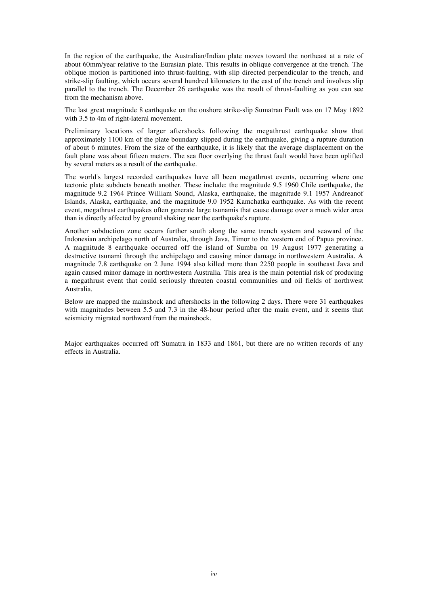In the region of the earthquake, the Australian/Indian plate moves toward the northeast at a rate of about 60mm/year relative to the Eurasian plate. This results in oblique convergence at the trench. The oblique motion is partitioned into thrust-faulting, with slip directed perpendicular to the trench, and strike-slip faulting, which occurs several hundred kilometers to the east of the trench and involves slip parallel to the trench. The December 26 earthquake was the result of thrust-faulting as you can see from the mechanism above.

The last great magnitude 8 earthquake on the onshore strike-slip Sumatran Fault was on 17 May 1892 with 3.5 to 4m of right-lateral movement.

Preliminary locations of larger aftershocks following the megathrust earthquake show that approximately 1100 km of the plate boundary slipped during the earthquake, giving a rupture duration of about 6 minutes. From the size of the earthquake, it is likely that the average displacement on the fault plane was about fifteen meters. The sea floor overlying the thrust fault would have been uplifted by several meters as a result of the earthquake.

The world's largest recorded earthquakes have all been megathrust events, occurring where one tectonic plate subducts beneath another. These include: the magnitude 9.5 1960 Chile earthquake, the magnitude 9.2 1964 Prince William Sound, Alaska, earthquake, the magnitude 9.1 1957 Andreanof Islands, Alaska, earthquake, and the magnitude 9.0 1952 Kamchatka earthquake. As with the recent event, megathrust earthquakes often generate large tsunamis that cause damage over a much wider area than is directly affected by ground shaking near the earthquake's rupture.

Another subduction zone occurs further south along the same trench system and seaward of the Indonesian archipelago north of Australia, through Java, Timor to the western end of Papua province. A magnitude 8 earthquake occurred off the island of Sumba on 19 August 1977 generating a destructive tsunami through the archipelago and causing minor damage in northwestern Australia. A magnitude 7.8 earthquake on 2 June 1994 also killed more than 2250 people in southeast Java and again caused minor damage in northwestern Australia. This area is the main potential risk of producing a megathrust event that could seriously threaten coastal communities and oil fields of northwest Australia.

Below are mapped the mainshock and aftershocks in the following 2 days. There were 31 earthquakes with magnitudes between 5.5 and 7.3 in the 48-hour period after the main event, and it seems that seismicity migrated northward from the mainshock.

Major earthquakes occurred off Sumatra in 1833 and 1861, but there are no written records of any effects in Australia.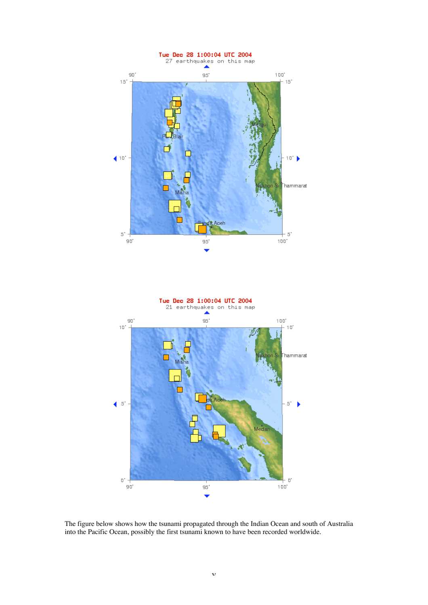

The figure below shows how the tsunami propagated through the Indian Ocean and south of Australia into the Pacific Ocean, possibly the first tsunami known to have been recorded worldwide.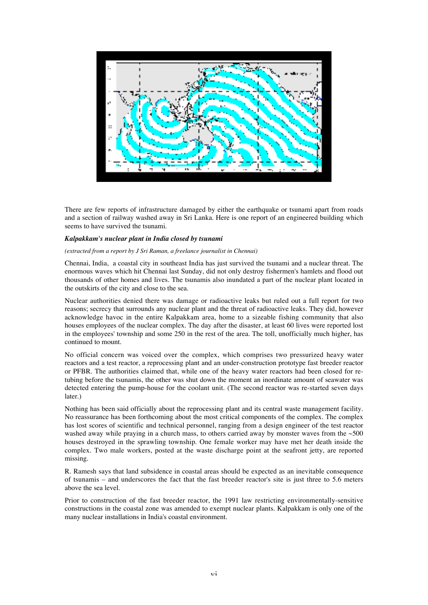

There are few reports of infrastructure damaged by either the earthquake or tsunami apart from roads and a section of railway washed away in Sri Lanka. Here is one report of an engineered building which seems to have survived the tsunami.

#### *Kalpakkam's nuclear plant in India closed by tsunami*

#### *(extracted from a report by J Sri Raman, a freelance journalist in Chennai)*

Chennai, India, a coastal city in southeast India has just survived the tsunami and a nuclear threat. The enormous waves which hit Chennai last Sunday, did not only destroy fishermen's hamlets and flood out thousands of other homes and lives. The tsunamis also inundated a part of the nuclear plant located in the outskirts of the city and close to the sea.

Nuclear authorities denied there was damage or radioactive leaks but ruled out a full report for two reasons; secrecy that surrounds any nuclear plant and the threat of radioactive leaks. They did, however acknowledge havoc in the entire Kalpakkam area, home to a sizeable fishing community that also houses employees of the nuclear complex. The day after the disaster, at least 60 lives were reported lost in the employees' township and some 250 in the rest of the area. The toll, unofficially much higher, has continued to mount.

No official concern was voiced over the complex, which comprises two pressurized heavy water reactors and a test reactor, a reprocessing plant and an under-construction prototype fast breeder reactor or PFBR. The authorities claimed that, while one of the heavy water reactors had been closed for retubing before the tsunamis, the other was shut down the moment an inordinate amount of seawater was detected entering the pump-house for the coolant unit. (The second reactor was re-started seven days later.)

Nothing has been said officially about the reprocessing plant and its central waste management facility. No reassurance has been forthcoming about the most critical components of the complex. The complex has lost scores of scientific and technical personnel, ranging from a design engineer of the test reactor washed away while praying in a church mass, to others carried away by monster waves from the  $\sim$ 500 houses destroyed in the sprawling township. One female worker may have met her death inside the complex. Two male workers, posted at the waste discharge point at the seafront jetty, are reported missing.

R. Ramesh says that land subsidence in coastal areas should be expected as an inevitable consequence of tsunamis – and underscores the fact that the fast breeder reactor's site is just three to 5.6 meters above the sea level.

Prior to construction of the fast breeder reactor, the 1991 law restricting environmentally-sensitive constructions in the coastal zone was amended to exempt nuclear plants. Kalpakkam is only one of the many nuclear installations in India's coastal environment.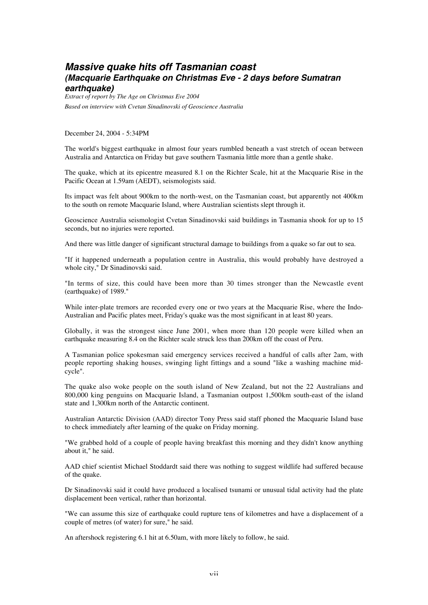### **Massive quake hits off Tasmanian coast (Macquarie Earthquake on Christmas Eve - 2 days before Sumatran earthquake)**

*Extract of report by The Age on Christmas Eve 2004 Based on interview with Cvetan Sinadinovski of Geoscience Australia*

December 24, 2004 - 5:34PM

The world's biggest earthquake in almost four years rumbled beneath a vast stretch of ocean between Australia and Antarctica on Friday but gave southern Tasmania little more than a gentle shake.

The quake, which at its epicentre measured 8.1 on the Richter Scale, hit at the Macquarie Rise in the Pacific Ocean at 1.59am (AEDT), seismologists said.

Its impact was felt about 900km to the north-west, on the Tasmanian coast, but apparently not 400km to the south on remote Macquarie Island, where Australian scientists slept through it.

Geoscience Australia seismologist Cvetan Sinadinovski said buildings in Tasmania shook for up to 15 seconds, but no injuries were reported.

And there was little danger of significant structural damage to buildings from a quake so far out to sea.

"If it happened underneath a population centre in Australia, this would probably have destroyed a whole city," Dr Sinadinovski said.

"In terms of size, this could have been more than 30 times stronger than the Newcastle event (earthquake) of 1989."

While inter-plate tremors are recorded every one or two years at the Macquarie Rise, where the Indo-Australian and Pacific plates meet, Friday's quake was the most significant in at least 80 years.

Globally, it was the strongest since June 2001, when more than 120 people were killed when an earthquake measuring 8.4 on the Richter scale struck less than 200km off the coast of Peru.

A Tasmanian police spokesman said emergency services received a handful of calls after 2am, with people reporting shaking houses, swinging light fittings and a sound "like a washing machine midcycle".

The quake also woke people on the south island of New Zealand, but not the 22 Australians and 800,000 king penguins on Macquarie Island, a Tasmanian outpost 1,500km south-east of the island state and 1,300km north of the Antarctic continent.

Australian Antarctic Division (AAD) director Tony Press said staff phoned the Macquarie Island base to check immediately after learning of the quake on Friday morning.

"We grabbed hold of a couple of people having breakfast this morning and they didn't know anything about it," he said.

AAD chief scientist Michael Stoddardt said there was nothing to suggest wildlife had suffered because of the quake.

Dr Sinadinovski said it could have produced a localised tsunami or unusual tidal activity had the plate displacement been vertical, rather than horizontal.

"We can assume this size of earthquake could rupture tens of kilometres and have a displacement of a couple of metres (of water) for sure," he said.

An aftershock registering 6.1 hit at 6.50am, with more likely to follow, he said.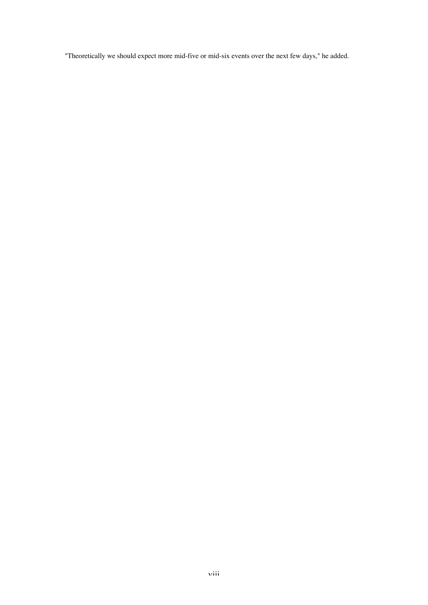"Theoretically we should expect more mid-five or mid-six events over the next few days," he added.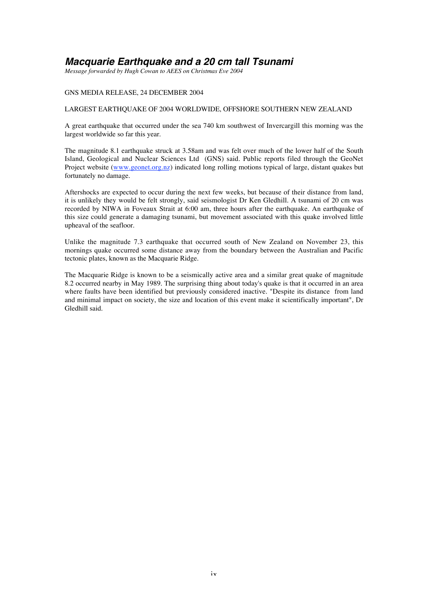## **Macquarie Earthquake and a 20 cm tall Tsunami**

*Message forwarded by Hugh Cowan to AEES on Christmas Eve 2004*

#### GNS MEDIA RELEASE, 24 DECEMBER 2004

#### LARGEST EARTHQUAKE OF 2004 WORLDWIDE, OFFSHORE SOUTHERN NEW ZEALAND

A great earthquake that occurred under the sea 740 km southwest of Invercargill this morning was the largest worldwide so far this year.

The magnitude 8.1 earthquake struck at 3.58am and was felt over much of the lower half of the South Island, Geological and Nuclear Sciences Ltd (GNS) said. Public reports filed through the GeoNet Project website (www.geonet.org.nz) indicated long rolling motions typical of large, distant quakes but fortunately no damage.

Aftershocks are expected to occur during the next few weeks, but because of their distance from land, it is unlikely they would be felt strongly, said seismologist Dr Ken Gledhill. A tsunami of 20 cm was recorded by NIWA in Foveaux Strait at 6:00 am, three hours after the earthquake. An earthquake of this size could generate a damaging tsunami, but movement associated with this quake involved little upheaval of the seafloor.

Unlike the magnitude 7.3 earthquake that occurred south of New Zealand on November 23, this mornings quake occurred some distance away from the boundary between the Australian and Pacific tectonic plates, known as the Macquarie Ridge.

The Macquarie Ridge is known to be a seismically active area and a similar great quake of magnitude 8.2 occurred nearby in May 1989. The surprising thing about today's quake is that it occurred in an area where faults have been identified but previously considered inactive. "Despite its distance from land and minimal impact on society, the size and location of this event make it scientifically important", Dr Gledhill said.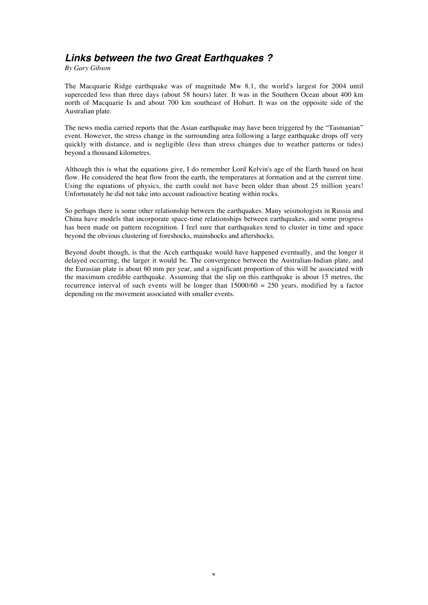## **Links between the two Great Earthquakes ?**

*By Gary Gibson*

The Macquarie Ridge earthquake was of magnitude Mw 8.1, the world's largest for 2004 until superceded less than three days (about 58 hours) later. It was in the Southern Ocean about 400 km north of Macquarie Is and about 700 km southeast of Hobart. It was on the opposite side of the Australian plate.

The news media carried reports that the Asian earthquake may have been triggered by the "Tasmanian" event. However, the stress change in the surrounding area following a large earthquake drops off very quickly with distance, and is negligible (less than stress changes due to weather patterns or tides) beyond a thousand kilometres.

Although this is what the equations give, I do remember Lord Kelvin's age of the Earth based on heat flow. He considered the heat flow from the earth, the temperatures at formation and at the current time. Using the equations of physics, the earth could not have been older than about 25 million years! Unfortunately he did not take into account radioactive heating within rocks.

So perhaps there is some other relationship between the earthquakes. Many seismologists in Russia and China have models that incorporate space-time relationships between earthquakes, and some progress has been made on pattern recognition. I feel sure that earthquakes tend to cluster in time and space beyond the obvious clustering of foreshocks, mainshocks and aftershocks.

Beyond doubt though, is that the Aceh earthquake would have happened eventually, and the longer it delayed occurring, the larger it would be. The convergence between the Australian-Indian plate, and the Eurasian plate is about 60 mm per year, and a significant proportion of this will be associated with the maximum credible earthquake. Assuming that the slip on this earthquake is about 15 metres, the recurrence interval of such events will be longer than  $15000/60 = 250$  years, modified by a factor depending on the movement associated with smaller events.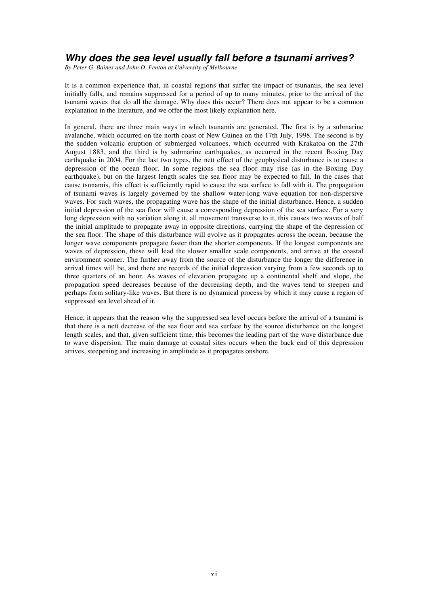## **Why does the sea level usually fall before a tsunami arrives?**

*By Peter G. Baines and John D. Fenton at University of Melbourne*

It is a common experience that, in coastal regions that suffer the impact of tsunamis, the sea level initially falls, and remains suppressed for a period of up to many minutes, prior to the arrival of the tsunami waves that do all the damage. Why does this occur? There does not appear to be a common explanation in the literature, and we offer the most likely explanation here.

In general, there are three main ways in which tsunamis are generated. The first is by a submarine avalanche, which occurred on the north coast of New Guinea on the 17th July, 1998. The second is by the sudden volcanic eruption of submerged volcanoes, which occurred with Krakatoa on the 27th August 1883, and the third is by submarine earthquakes, as occurred in the recent Boxing Day earthquake in 2004. For the last two types, the nett effect of the geophysical disturbance is to cause a depression of the ocean floor. In some regions the sea floor may rise (as in the Boxing Day earthquake), but on the largest length scales the sea floor may be expected to fall. In the cases that cause tsunamis, this effect is sufficiently rapid to cause the sea surface to fall with it. The propagation of tsunami waves is largely governed by the shallow water-long wave equation for non-dispersive waves. For such waves, the propagating wave has the shape of the initial disturbance. Hence, a sudden initial depression of the sea floor will cause a corresponding depression of the sea surface. For a very long depression with no variation along it, all movement transverse to it, this causes two waves of half the initial amplitude to propagate away in opposite directions, carrying the shape of the depression of the sea floor. The shape of this disturbance will evolve as it propagates across the ocean, because the longer wave components propagate faster than the shorter components. If the longest components are waves of depression, these will lead the slower smaller scale components, and arrive at the coastal environment sooner. The further away from the source of the disturbance the longer the difference in arrival times will be, and there are records of the initial depression varying from a few seconds up to three quarters of an hour. As waves of elevation propagate up a continental shelf and slope, the propagation speed decreases because of the decreasing depth, and the waves tend to steepen and perhaps form solitary-like waves. But there is no dynamical process by which it may cause a region of suppressed sea level ahead of it.

Hence, it appears that the reason why the suppressed sea level occurs before the arrival of a tsunami is that there is a nett decrease of the sea floor and sea surface by the source disturbance on the longest length scales, and that, given sufficient time, this becomes the leading part of the wave disturbance due to wave dispersion. The main damage at coastal sites occurs when the back end of this depression arrives, steepening and increasing in amplitude as it propagates onshore.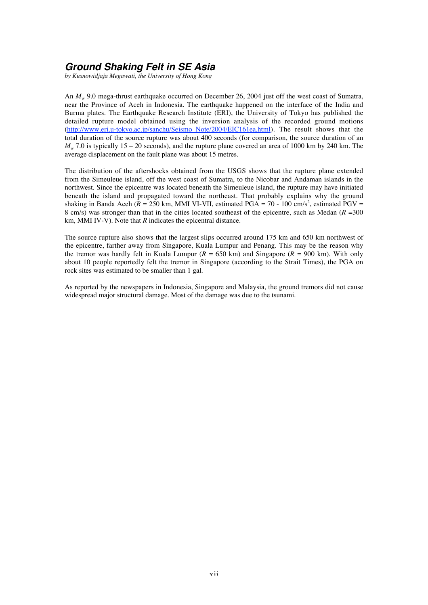## **Ground Shaking Felt in SE Asia**

*by Kusnowidjaja Megawati, the University of Hong Kong*

An  $M_w$  9.0 mega-thrust earthquake occurred on December 26, 2004 just off the west coast of Sumatra, near the Province of Aceh in Indonesia. The earthquake happened on the interface of the India and Burma plates. The Earthquake Research Institute (ERI), the University of Tokyo has published the detailed rupture model obtained using the inversion analysis of the recorded ground motions (http://www.eri.u-tokyo.ac.jp/sanchu/Seismo\_Note/2004/EIC161ea.html). The result shows that the total duration of the source rupture was about 400 seconds (for comparison, the source duration of an  $M_{\rm w}$  7.0 is typically 15 – 20 seconds), and the rupture plane covered an area of 1000 km by 240 km. The average displacement on the fault plane was about 15 metres.

The distribution of the aftershocks obtained from the USGS shows that the rupture plane extended from the Simeuleue island, off the west coast of Sumatra, to the Nicobar and Andaman islands in the northwest. Since the epicentre was located beneath the Simeuleue island, the rupture may have initiated beneath the island and propagated toward the northeast. That probably explains why the ground shaking in Banda Aceh ( $R = 250$  km, MMI VI-VII, estimated PGA = 70 - 100 cm/s<sup>2</sup>, estimated PGV = 8 cm/s) was stronger than that in the cities located southeast of the epicentre, such as Medan (*R* =300 km, MMI IV-V). Note that *R* indicates the epicentral distance.

The source rupture also shows that the largest slips occurred around 175 km and 650 km northwest of the epicentre, farther away from Singapore, Kuala Lumpur and Penang. This may be the reason why the tremor was hardly felt in Kuala Lumpur ( $R = 650$  km) and Singapore ( $R = 900$  km). With only about 10 people reportedly felt the tremor in Singapore (according to the Strait Times), the PGA on rock sites was estimated to be smaller than 1 gal.

As reported by the newspapers in Indonesia, Singapore and Malaysia, the ground tremors did not cause widespread major structural damage. Most of the damage was due to the tsunami.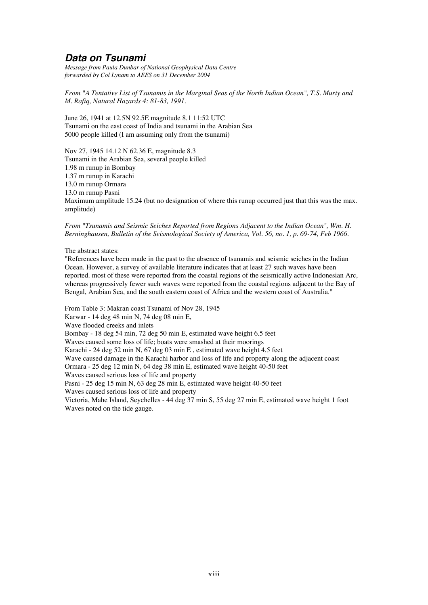## **Data on Tsunami**

*Message from Paula Dunbar of National Geophysical Data Centre forwarded by Col Lynam to AEES on 31 December 2004*

*From "A Tentative List of Tsunamis in the Marginal Seas of the North Indian Ocean", T.S. Murty and M. Rafiq, Natural Hazards 4: 81-83, 1991.*

June 26, 1941 at 12.5N 92.5E magnitude 8.1 11:52 UTC Tsunami on the east coast of India and tsunami in the Arabian Sea 5000 people killed (I am assuming only from the tsunami)

Nov 27, 1945 14.12 N 62.36 E, magnitude 8.3 Tsunami in the Arabian Sea, several people killed 1.98 m runup in Bombay 1.37 m runup in Karachi 13.0 m runup Ormara 13.0 m runup Pasni Maximum amplitude 15.24 (but no designation of where this runup occurred just that this was the max. amplitude)

*From "Tsunamis and Seismic Seiches Reported from Regions Adjacent to the Indian Ocean", Wm. H. Berninghausen, Bulletin of the Seismological Society of America, Vol. 56, no. 1, p. 69-74, Feb 1966.*

The abstract states:

"References have been made in the past to the absence of tsunamis and seismic seiches in the Indian Ocean. However, a survey of available literature indicates that at least 27 such waves have been reported. most of these were reported from the coastal regions of the seismically active Indonesian Arc, whereas progressively fewer such waves were reported from the coastal regions adjacent to the Bay of Bengal, Arabian Sea, and the south eastern coast of Africa and the western coast of Australia."

From Table 3: Makran coast Tsunami of Nov 28, 1945 Karwar - 14 deg 48 min N, 74 deg 08 min E, Wave flooded creeks and inlets Bombay - 18 deg 54 min, 72 deg 50 min E, estimated wave height 6.5 feet Waves caused some loss of life; boats were smashed at their moorings Karachi - 24 deg 52 min N, 67 deg 03 min E , estimated wave height 4.5 feet Wave caused damage in the Karachi harbor and loss of life and property along the adjacent coast Ormara - 25 deg 12 min N, 64 deg 38 min E, estimated wave height 40-50 feet Waves caused serious loss of life and property Pasni - 25 deg 15 min N, 63 deg 28 min E, estimated wave height 40-50 feet Waves caused serious loss of life and property Victoria, Mahe Island, Seychelles - 44 deg 37 min S, 55 deg 27 min E, estimated wave height 1 foot Waves noted on the tide gauge.